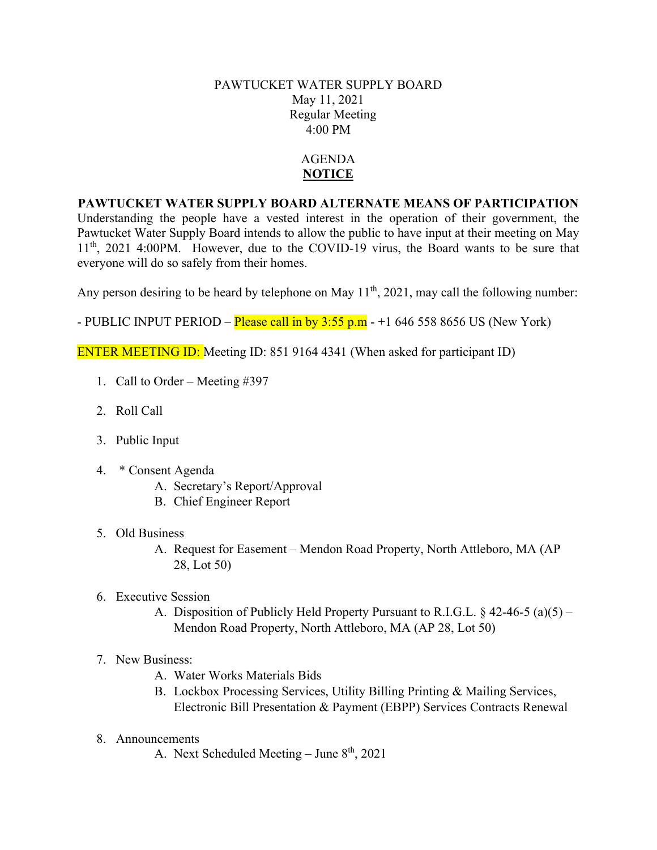#### PAWTUCKET WATER SUPPLY BOARD May 11, 2021 Regular Meeting 4:00 PM

### AGENDA **NOTICE**

### **PAWTUCKET WATER SUPPLY BOARD ALTERNATE MEANS OF PARTICIPATION**

Understanding the people have a vested interest in the operation of their government, the Pawtucket Water Supply Board intends to allow the public to have input at their meeting on May  $11<sup>th</sup>$ , 2021 4:00PM. However, due to the COVID-19 virus, the Board wants to be sure that everyone will do so safely from their homes.

Any person desiring to be heard by telephone on May  $11<sup>th</sup>$ , 2021, may call the following number:

- PUBLIC INPUT PERIOD – **Please call in by 3:55 p.m** -  $+1$  646 558 8656 US (New York)

ENTER MEETING ID: Meeting ID: 851 9164 4341 (When asked for participant ID)

- 1. Call to Order Meeting #397
- 2. Roll Call
- 3. Public Input
- 4. \* Consent Agenda
	- A. Secretary's Report/Approval
	- B. Chief Engineer Report
- 5. Old Business
	- A. Request for Easement Mendon Road Property, North Attleboro, MA (AP 28, Lot 50)
- 6. Executive Session
	- A. Disposition of Publicly Held Property Pursuant to R.I.G.L.  $\S$  42-46-5 (a)(5) Mendon Road Property, North Attleboro, MA (AP 28, Lot 50)
- 7. New Business:
	- A. Water Works Materials Bids
	- B. Lockbox Processing Services, Utility Billing Printing & Mailing Services, Electronic Bill Presentation & Payment (EBPP) Services Contracts Renewal
- 8. Announcements
	- A. Next Scheduled Meeting June  $8<sup>th</sup>$ , 2021